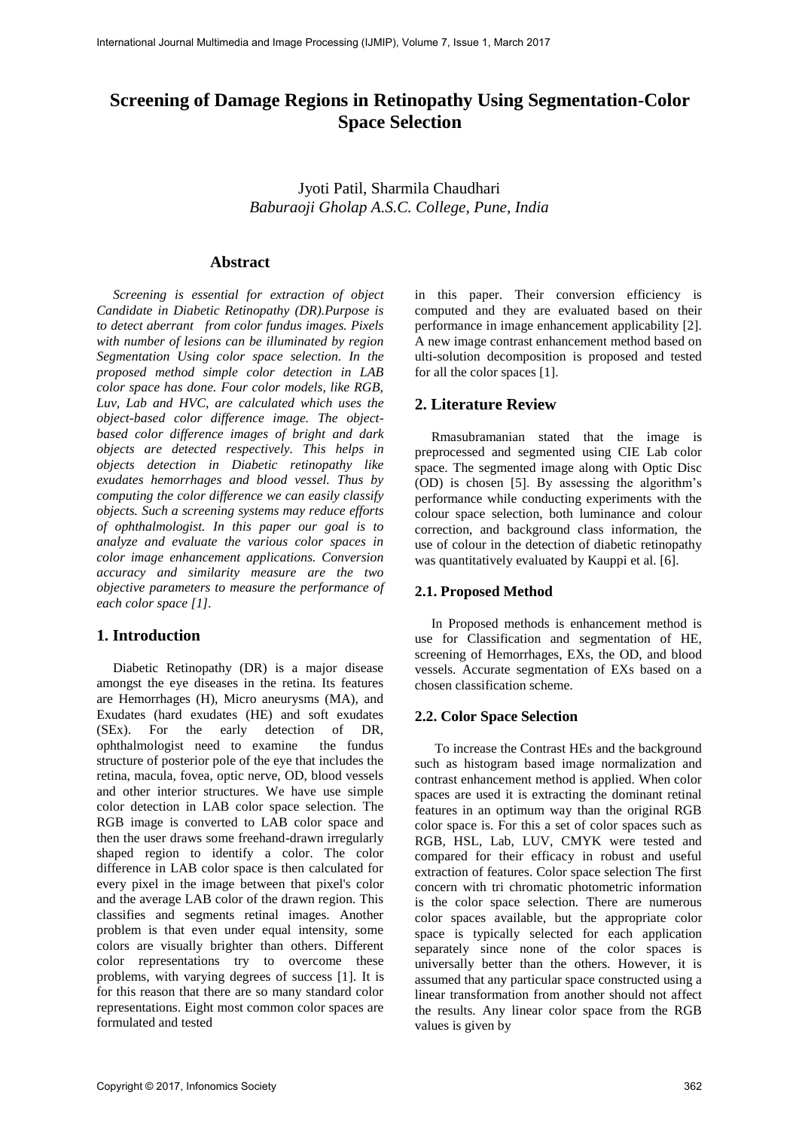# **Screening of Damage Regions in Retinopathy Using Segmentation-Color Space Selection**

Jyoti Patil, Sharmila Chaudhari *Baburaoji Gholap A.S.C. College, Pune, India*

## **Abstract**

*Screening is essential for extraction of object Candidate in Diabetic Retinopathy (DR).Purpose is to detect aberrant from color fundus images. Pixels with number of lesions can be illuminated by region Segmentation Using color space selection. In the proposed method simple color detection in LAB color space has done. Four color models, like RGB, Luv, Lab and HVC, are calculated which uses the object-based color difference image. The objectbased color difference images of bright and dark objects are detected respectively. This helps in objects detection in Diabetic retinopathy like exudates hemorrhages and blood vessel. Thus by computing the color difference we can easily classify objects. Such a screening systems may reduce efforts of ophthalmologist. In this paper our goal is to analyze and evaluate the various color spaces in color image enhancement applications. Conversion accuracy and similarity measure are the two objective parameters to measure the performance of each color space [1].*

### **1. Introduction**

Diabetic Retinopathy (DR) is a major disease amongst the eye diseases in the retina. Its features are Hemorrhages (H), Micro aneurysms (MA), and Exudates (hard exudates (HE) and soft exudates (SEx). For the early detection of DR, ophthalmologist need to examine the fundus structure of posterior pole of the eye that includes the retina, macula, fovea, optic nerve, OD, blood vessels and other interior structures. We have use simple color detection in LAB color space selection. The RGB image is converted to LAB color space and then the user draws some freehand-drawn irregularly shaped region to identify a color. The color difference in LAB color space is then calculated for every pixel in the image between that pixel's color and the average LAB color of the drawn region. This classifies and segments retinal images. Another problem is that even under equal intensity, some colors are visually brighter than others. Different color representations try to overcome these problems, with varying degrees of success [1]. It is for this reason that there are so many standard color representations. Eight most common color spaces are formulated and tested

in this paper. Their conversion efficiency is computed and they are evaluated based on their performance in image enhancement applicability [2]. A new image contrast enhancement method based on ulti-solution decomposition is proposed and tested for all the color spaces [1].

## **2. Literature Review**

Rmasubramanian stated that the image is preprocessed and segmented using CIE Lab color space. The segmented image along with Optic Disc (OD) is chosen [5]. By assessing the algorithm's performance while conducting experiments with the colour space selection, both luminance and colour correction, and background class information, the use of colour in the detection of diabetic retinopathy was quantitatively evaluated by Kauppi et al. [6].

#### **2.1. Proposed Method**

In Proposed methods is enhancement method is use for Classification and segmentation of HE, screening of Hemorrhages, EXs, the OD, and blood vessels. Accurate segmentation of EXs based on a chosen classification scheme.

## **2.2. Color Space Selection**

To increase the Contrast HEs and the background such as histogram based image normalization and contrast enhancement method is applied. When color spaces are used it is extracting the dominant retinal features in an optimum way than the original RGB color space is. For this a set of color spaces such as RGB, HSL, Lab, LUV, CMYK were tested and compared for their efficacy in robust and useful extraction of features. Color space selection The first concern with tri chromatic photometric information is the color space selection. There are numerous color spaces available, but the appropriate color space is typically selected for each application separately since none of the color spaces is universally better than the others. However, it is assumed that any particular space constructed using a linear transformation from another should not affect the results. Any linear color space from the RGB values is given by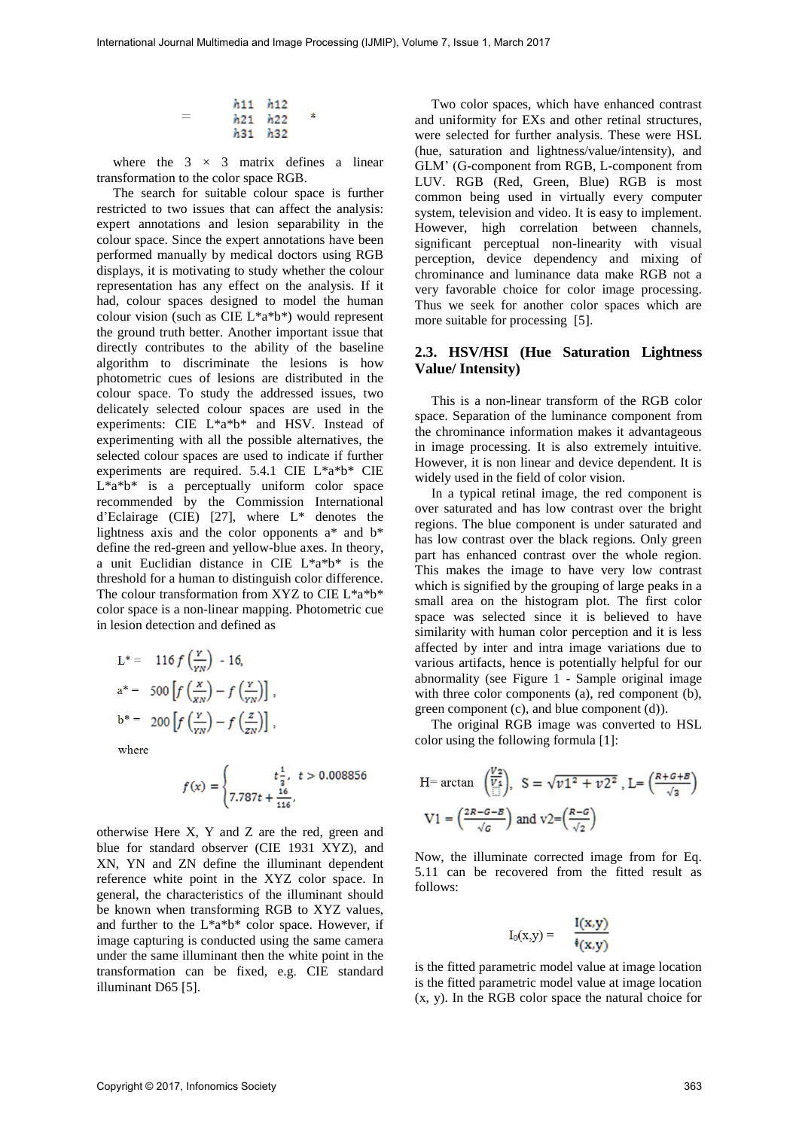| h11 h12     |   |
|-------------|---|
| h21 h22     | ź |
| $h31$ $h32$ |   |

where the  $3 \times 3$  matrix defines a linear transformation to the color space RGB.

The search for suitable colour space is further restricted to two issues that can affect the analysis: expert annotations and lesion separability in the colour space. Since the expert annotations have been performed manually by medical doctors using RGB displays, it is motivating to study whether the colour representation has any effect on the analysis. If it had, colour spaces designed to model the human colour vision (such as CIE L\*a\*b\*) would represent the ground truth better. Another important issue that directly contributes to the ability of the baseline algorithm to discriminate the lesions is how photometric cues of lesions are distributed in the colour space. To study the addressed issues, two delicately selected colour spaces are used in the experiments: CIE L\*a\*b\* and HSV. Instead of experimenting with all the possible alternatives, the selected colour spaces are used to indicate if further experiments are required. 5.4.1 CIE L\*a\*b\* CIE L\*a\*b\* is a perceptually uniform color space recommended by the Commission International d'Eclairage (CIE) [27], where L\* denotes the lightness axis and the color opponents a\* and b\* define the red-green and yellow-blue axes. In theory, a unit Euclidian distance in CIE L\*a\*b\* is the threshold for a human to distinguish color difference. The colour transformation from XYZ to CIE L\*a\*b\* color space is a non-linear mapping. Photometric cue in lesion detection and defined as

$$
L^* = 116 f\left(\frac{Y}{YN}\right) - 16,
$$
  
\n
$$
a^* = 500 \left[ f\left(\frac{x}{XN}\right) - f\left(\frac{Y}{YN}\right) \right],
$$
  
\n
$$
b^* = 200 \left[ f\left(\frac{Y}{YN}\right) - f\left(\frac{z}{ZN}\right) \right],
$$

where

$$
f(x) = \begin{cases} t\frac{1}{3}, & t > 0.008856\\ 7.787t + \frac{16}{116}, \end{cases}
$$

otherwise Here X, Y and Z are the red, green and blue for standard observer (CIE 1931 XYZ), and XN, YN and ZN define the illuminant dependent reference white point in the XYZ color space. In general, the characteristics of the illuminant should be known when transforming RGB to XYZ values, and further to the L\*a\*b\* color space. However, if image capturing is conducted using the same camera under the same illuminant then the white point in the transformation can be fixed, e.g. CIE standard illuminant D65 [5].

Two color spaces, which have enhanced contrast and uniformity for EXs and other retinal structures, were selected for further analysis. These were HSL (hue, saturation and lightness/value/intensity), and GLM' (G-component from RGB, L-component from LUV. RGB (Red, Green, Blue) RGB is most common being used in virtually every computer system, television and video. It is easy to implement. However, high correlation between channels, significant perceptual non-linearity with visual perception, device dependency and mixing of chrominance and luminance data make RGB not a very favorable choice for color image processing. Thus we seek for another color spaces which are more suitable for processing [5].

#### **2.3. HSV/HSI (Hue Saturation Lightness Value/ Intensity)**

This is a non-linear transform of the RGB color space. Separation of the luminance component from the chrominance information makes it advantageous in image processing. It is also extremely intuitive. However, it is non linear and device dependent. It is widely used in the field of color vision.

In a typical retinal image, the red component is over saturated and has low contrast over the bright regions. The blue component is under saturated and has low contrast over the black regions. Only green part has enhanced contrast over the whole region. This makes the image to have very low contrast which is signified by the grouping of large peaks in a small area on the histogram plot. The first color space was selected since it is believed to have similarity with human color perception and it is less affected by inter and intra image variations due to various artifacts, hence is potentially helpful for our abnormality (see Figure 1 - Sample original image with three color components (a), red component (b), green component (c), and blue component (d)).

The original RGB image was converted to HSL color using the following formula [1]:

H= arctan 
$$
\left(\frac{v_2}{v_4}\right)
$$
, S =  $\sqrt{v_1^2 + v_2^2}$ , L=  $\left(\frac{R+G+B}{\sqrt{2}}\right)$   
V1 =  $\left(\frac{2R-G-B}{\sqrt{g}}\right)$  and  $v_2 = \left(\frac{R-G}{\sqrt{2}}\right)$ 

Now, the illuminate corrected image from for Eq. 5.11 can be recovered from the fitted result as follows:

$$
I_0(x,y) = -\frac{I(x,y)}{\frac{1}{2}(x,y)}
$$

is the fitted parametric model value at image location is the fitted parametric model value at image location (x, y). In the RGB color space the natural choice for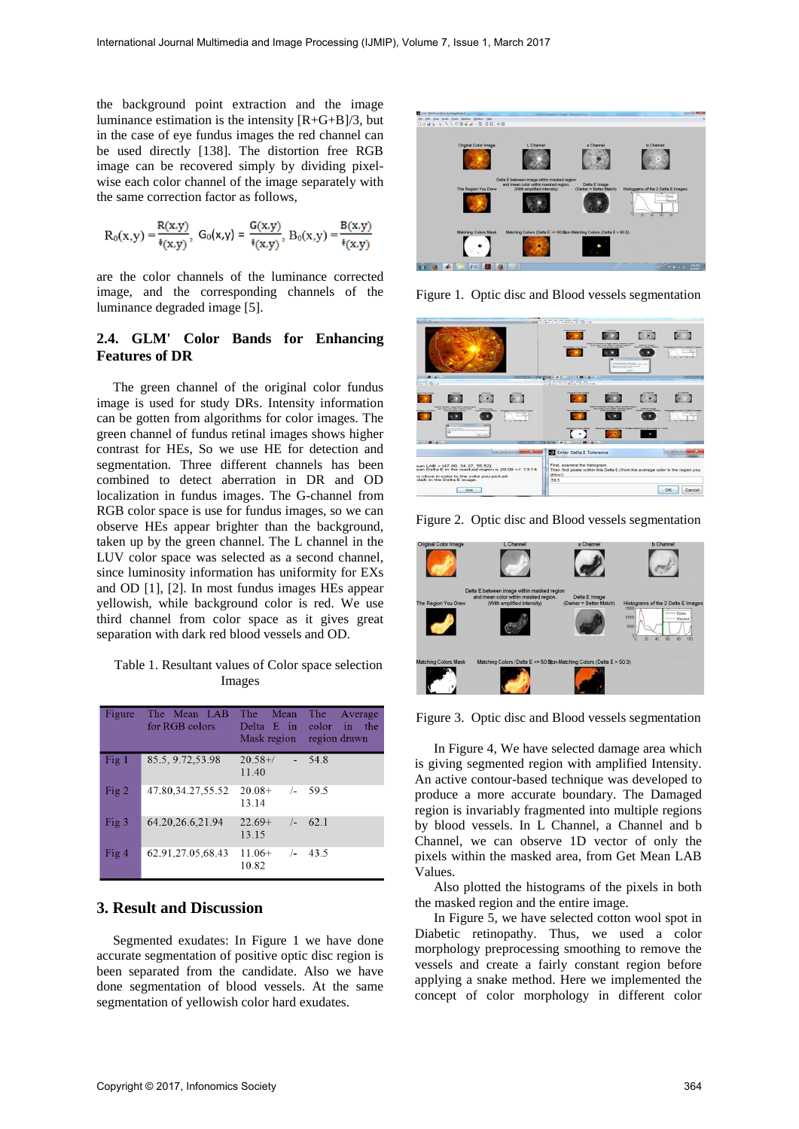the background point extraction and the image luminance estimation is the intensity  $\frac{R+G+B}{3}$ , but in the case of eye fundus images the red channel can be used directly [138]. The distortion free RGB image can be recovered simply by dividing pixelwise each color channel of the image separately with the same correction factor as follows,

$$
R_0(x,y) = \frac{R(x,y)}{\sqrt[4]{(x,y)}}, \ G_0(x,y) = \frac{G(x,y)}{\sqrt[4]{(x,y)}}, \ B_0(x,y) = \frac{B(x,y)}{\sqrt[4]{(x,y)}}
$$

are the color channels of the luminance corrected image, and the corresponding channels of the luminance degraded image [5].

## **2.4. GLM' Color Bands for Enhancing Features of DR**

The green channel of the original color fundus image is used for study DRs. Intensity information can be gotten from algorithms for color images. The green channel of fundus retinal images shows higher contrast for HEs, So we use HE for detection and segmentation. Three different channels has been combined to detect aberration in DR and OD localization in fundus images. The G-channel from RGB color space is use for fundus images, so we can observe HEs appear brighter than the background, taken up by the green channel. The L channel in the LUV color space was selected as a second channel, since luminosity information has uniformity for EXs and OD [1], [2]. In most fundus images HEs appear yellowish, while background color is red. We use third channel from color space as it gives great separation with dark red blood vessels and OD.

Table 1. Resultant values of Color space selection Images

| Figure | The Mean LAB<br>for RGB colors | <b>The</b><br>Mean<br>Delta E in<br>Mask region | The<br>Average<br>color<br>in the<br>region drawn |
|--------|--------------------------------|-------------------------------------------------|---------------------------------------------------|
| Fig 1  | 85.5, 9.72, 53.98              | $20.58 +$ /<br>$\Delta \sim 10^4$<br>11.40      | 54.8                                              |
| Fig 2  | 47.80.34.27.55.52              | $20.08+$<br>13.14                               | $/2$ 59.5                                         |
| Fig 3  | 64.20,26.6,21.94               | $22.69+$<br>$\sqrt{-}$<br>13.15                 | 62.1                                              |
| Fig 4  | 62.91,27.05,68.43              | $11.06+$<br>$/ -$<br>10.82                      | 43.5                                              |

## **3. Result and Discussion**

Segmented exudates: In Figure 1 we have done accurate segmentation of positive optic disc region is been separated from the candidate. Also we have done segmentation of blood vessels. At the same segmentation of yellowish color hard exudates.



Figure 1. Optic disc and Blood vessels segmentation



Figure 2. Optic disc and Blood vessels segmentation



Figure 3. Optic disc and Blood vessels segmentation

In Figure 4, We have selected damage area which is giving segmented region with amplified Intensity. An active contour-based technique was developed to produce a more accurate boundary. The Damaged region is invariably fragmented into multiple regions by blood vessels. In L Channel, a Channel and b Channel, we can observe 1D vector of only the pixels within the masked area, from Get Mean LAB Values.

Also plotted the histograms of the pixels in both the masked region and the entire image.

In Figure 5, we have selected cotton wool spot in Diabetic retinopathy. Thus, we used a color morphology preprocessing smoothing to remove the vessels and create a fairly constant region before applying a snake method. Here we implemented the concept of color morphology in different color